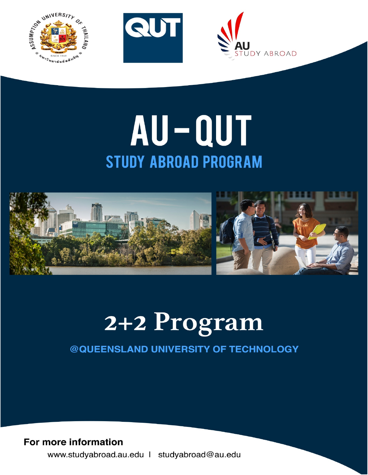





# AU-QUT **STUDY ABROAD PROGRAM**



# 2+2 Program

### @QUEENSLAND UNIVERSITY OF TECHNOLOGY

### For more information

www.studyabroad.au.edu | studyabroad@au.edu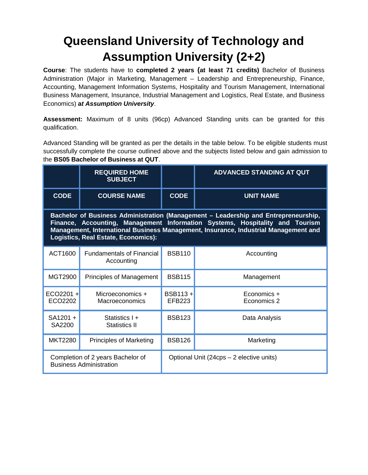## **Queensland University of Technology and Assumption University (2+2)**

**Course**: The students have to **completed 2 years (at least 71 credits)** Bachelor of Business Administration (Major in Marketing, Management – Leadership and Entrepreneurship, Finance, Accounting, Management Information Systems, Hospitality and Tourism Management, International Business Management, Insurance, Industrial Management and Logistics, Real Estate, and Business Economics) **a***t Assumption University*.

**Assessment:** Maximum of 8 units (96cp) Advanced Standing units can be granted for this qualification.

Advanced Standing will be granted as per the details in the table below. To be eligible students must successfully complete the course outlined above and the subjects listed below and gain admission to the **BS05 Bachelor of Business at QUT**.

|                                                                                                                                                                                                                                                                                                  | <b>REQUIRED HOME</b><br><b>SUBJECT</b>         |                                          | <b>ADVANCED STANDING AT QUT</b> |  |  |
|--------------------------------------------------------------------------------------------------------------------------------------------------------------------------------------------------------------------------------------------------------------------------------------------------|------------------------------------------------|------------------------------------------|---------------------------------|--|--|
| <b>CODE</b>                                                                                                                                                                                                                                                                                      | <b>COURSE NAME</b>                             | <b>CODE</b>                              | <b>UNIT NAME</b>                |  |  |
| Bachelor of Business Administration (Management - Leadership and Entrepreneurship,<br>Finance, Accounting, Management Information Systems, Hospitality and Tourism<br>Management, International Business Management, Insurance, Industrial Management and<br>Logistics, Real Estate, Economics): |                                                |                                          |                                 |  |  |
| ACT1600                                                                                                                                                                                                                                                                                          | <b>Fundamentals of Financial</b><br>Accounting | <b>BSB110</b>                            | Accounting                      |  |  |
| MGT2900                                                                                                                                                                                                                                                                                          | <b>Principles of Management</b>                | <b>BSB115</b>                            | Management                      |  |  |
| $ECO2201 +$<br>ECO2202                                                                                                                                                                                                                                                                           | Microeconomics +<br>Macroeconomics             | BSB113+<br><b>EFB223</b>                 | Economics +<br>Economics 2      |  |  |
| SA1201 +<br>SA2200                                                                                                                                                                                                                                                                               | Statistics I +<br>Statistics II                | <b>BSB123</b>                            | Data Analysis                   |  |  |
| <b>MKT2280</b>                                                                                                                                                                                                                                                                                   | <b>Principles of Marketing</b>                 | <b>BSB126</b>                            | Marketing                       |  |  |
| Completion of 2 years Bachelor of<br><b>Business Administration</b>                                                                                                                                                                                                                              |                                                | Optional Unit (24cps - 2 elective units) |                                 |  |  |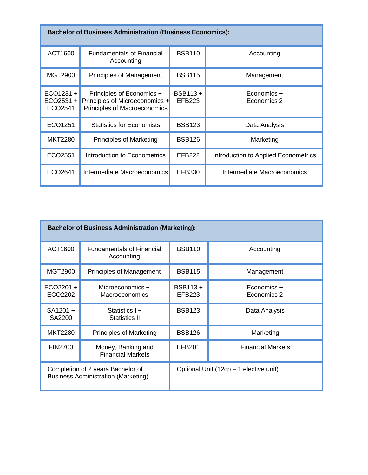| <b>Bachelor of Business Administration (Business Economics):</b> |                                                                                             |                   |                                      |  |  |
|------------------------------------------------------------------|---------------------------------------------------------------------------------------------|-------------------|--------------------------------------|--|--|
| ACT1600                                                          | <b>Fundamentals of Financial</b><br>Accounting                                              | <b>BSB110</b>     | Accounting                           |  |  |
| MGT2900                                                          | <b>Principles of Management</b>                                                             | <b>BSB115</b>     | Management                           |  |  |
| $ECO1231 +$<br>ECO2531 +<br>ECO2541                              | Principles of Economics +<br>Principles of Microeconomics +<br>Principles of Macroeconomics | BSB113+<br>EFB223 | Economics +<br>Economics 2           |  |  |
| ECO1251                                                          | <b>Statistics for Economists</b>                                                            | <b>BSB123</b>     | Data Analysis                        |  |  |
| <b>MKT2280</b>                                                   | <b>Principles of Marketing</b>                                                              | <b>BSB126</b>     | Marketing                            |  |  |
| ECO2551                                                          | Introduction to Econometrics                                                                | <b>EFB222</b>     | Introduction to Applied Econometrics |  |  |
| ECO2641                                                          | Intermediate Macroeconomics                                                                 | EFB330            | Intermediate Macroeconomics          |  |  |

| <b>Bachelor of Business Administration (Marketing):</b>                         |                                                |                                        |                            |  |  |
|---------------------------------------------------------------------------------|------------------------------------------------|----------------------------------------|----------------------------|--|--|
| ACT1600                                                                         | <b>Fundamentals of Financial</b><br>Accounting | <b>BSB110</b>                          | Accounting                 |  |  |
| MGT2900                                                                         | Principles of Management                       | <b>BSB115</b>                          | Management                 |  |  |
| $ECO2201 +$<br>ECO2202                                                          | Microeconomics +<br><b>Macroeconomics</b>      | BSB113+<br><b>EFB223</b>               | Economics +<br>Economics 2 |  |  |
| SA1201 +<br>SA2200                                                              | Statistics I +<br>Statistics II                | <b>BSB123</b>                          | Data Analysis              |  |  |
| <b>MKT2280</b>                                                                  | <b>Principles of Marketing</b>                 | <b>BSB126</b>                          | Marketing                  |  |  |
| <b>FIN2700</b>                                                                  | Money, Banking and<br><b>Financial Markets</b> | <b>EFB201</b>                          | <b>Financial Markets</b>   |  |  |
| Completion of 2 years Bachelor of<br><b>Business Administration (Marketing)</b> |                                                | Optional Unit (12cp – 1 elective unit) |                            |  |  |